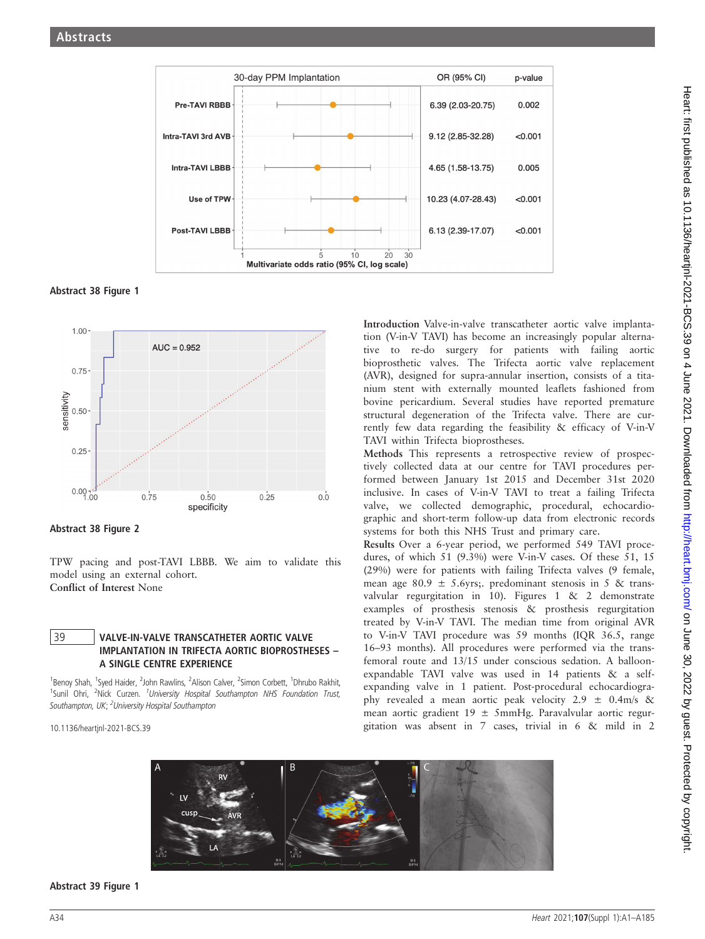

Abstract 38 Figure 1



Abstract 38 Figure 2

TPW pacing and post-TAVI LBBB. We aim to validate this model using an external cohort. Conflict of Interest None

## 39 VALVE-IN-VALVE TRANSCATHETER AORTIC VALVE IMPLANTATION IN TRIFECTA AORTIC BIOPROSTHESES – A SINGLE CENTRE EXPERIENCE

<sup>1</sup>Benoy Shah, <sup>1</sup>Syed Haider, <sup>2</sup>John Rawlins, <sup>2</sup>Alison Calver, <sup>2</sup>Simon Corbett, <sup>1</sup>Dhrubo Rakhit, <sup>1</sup>Sunil Ohri, <sup>2</sup>Nick Curzen. <sup>1</sup>University Hospital Southampton NHS Foundation Trust, Southampton, UK; <sup>2</sup>University Hospital Southampton

10.1136/heartjnl-2021-BCS.39

Introduction Valve-in-valve transcatheter aortic valve implantation (V-in-V TAVI) has become an increasingly popular alternative to re-do surgery for patients with failing aortic bioprosthetic valves. The Trifecta aortic valve replacement (AVR), designed for supra-annular insertion, consists of a titanium stent with externally mounted leaflets fashioned from bovine pericardium. Several studies have reported premature structural degeneration of the Trifecta valve. There are currently few data regarding the feasibility & efficacy of V-in-V TAVI within Trifecta bioprostheses.

Methods This represents a retrospective review of prospectively collected data at our centre for TAVI procedures performed between January 1st 2015 and December 31st 2020 inclusive. In cases of V-in-V TAVI to treat a failing Trifecta valve, we collected demographic, procedural, echocardiographic and short-term follow-up data from electronic records systems for both this NHS Trust and primary care.

Results Over a 6-year period, we performed 549 TAVI procedures, of which 51 (9.3%) were V-in-V cases. Of these 51, 15 (29%) were for patients with failing Trifecta valves (9 female, mean age 80.9  $\pm$  5.6yrs;. predominant stenosis in 5 & transvalvular regurgitation in 10). Figures 1 & 2 demonstrate examples of prosthesis stenosis & prosthesis regurgitation treated by V-in-V TAVI. The median time from original AVR to V-in-V TAVI procedure was 59 months (IQR 36.5, range 16–93 months). All procedures were performed via the transfemoral route and 13/15 under conscious sedation. A balloonexpandable TAVI valve was used in 14 patients & a selfexpanding valve in 1 patient. Post-procedural echocardiography revealed a mean aortic peak velocity 2.9 ± 0.4m/s & mean aortic gradient 19 ± 5mmHg. Paravalvular aortic regurgitation was absent in 7 cases, trivial in 6 & mild in 2



Abstract 39 Figure 1